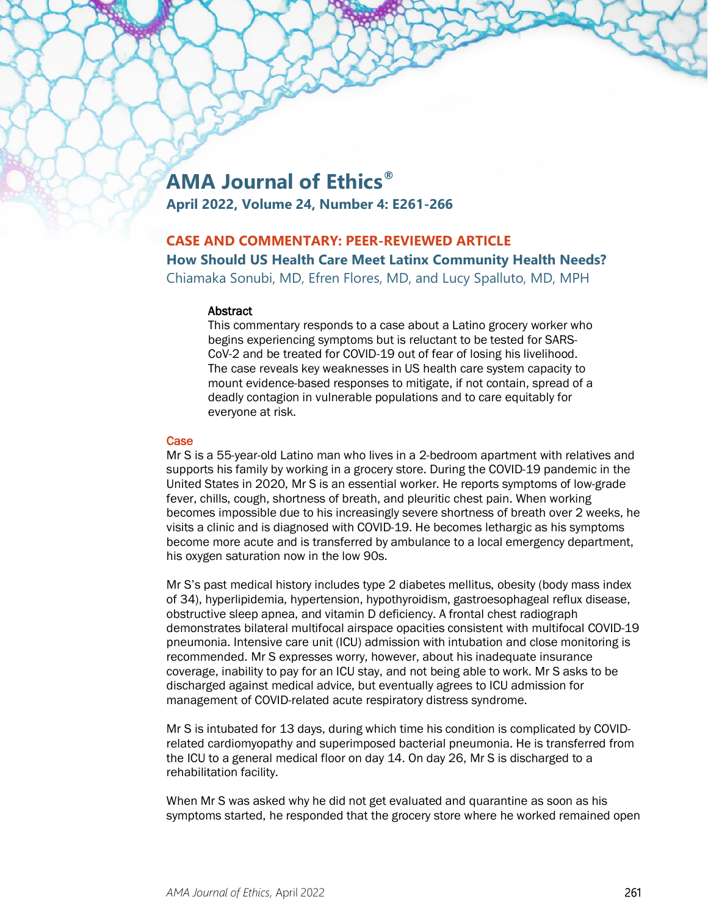# **AMA Journal of Ethics®**

**April 2022, Volume 24, Number 4: E261-266**

# **CASE AND COMMENTARY: PEER-REVIEWED ARTICLE**

**How Should US Health Care Meet Latinx Community Health Needs?**

Chiamaka Sonubi, MD, Efren Flores, MD, and Lucy Spalluto, MD, MPH

#### **Abstract**

This commentary responds to a case about a Latino grocery worker who begins experiencing symptoms but is reluctant to be tested for SARS-CoV-2 and be treated for COVID-19 out of fear of losing his livelihood. The case reveals key weaknesses in US health care system capacity to mount evidence-based responses to mitigate, if not contain, spread of a deadly contagion in vulnerable populations and to care equitably for everyone at risk.

# **Case**

Mr S is a 55-year-old Latino man who lives in a 2-bedroom apartment with relatives and supports his family by working in a grocery store. During the COVID-19 pandemic in the United States in 2020, Mr S is an essential worker. He reports symptoms of low-grade fever, chills, cough, shortness of breath, and pleuritic chest pain. When working becomes impossible due to his increasingly severe shortness of breath over 2 weeks, he visits a clinic and is diagnosed with COVID-19. He becomes lethargic as his symptoms become more acute and is transferred by ambulance to a local emergency department, his oxygen saturation now in the low 90s.

Mr S's past medical history includes type 2 diabetes mellitus, obesity (body mass index of 34), hyperlipidemia, hypertension, hypothyroidism, gastroesophageal reflux disease, obstructive sleep apnea, and vitamin D deficiency. A frontal chest radiograph demonstrates bilateral multifocal airspace opacities consistent with multifocal COVID-19 pneumonia. Intensive care unit (ICU) admission with intubation and close monitoring is recommended. Mr S expresses worry, however, about his inadequate insurance coverage, inability to pay for an ICU stay, and not being able to work. Mr S asks to be discharged against medical advice, but eventually agrees to ICU admission for management of COVID-related acute respiratory distress syndrome.

Mr S is intubated for 13 days, during which time his condition is complicated by COVIDrelated cardiomyopathy and superimposed bacterial pneumonia. He is transferred from the ICU to a general medical floor on day 14. On day 26, Mr S is discharged to a rehabilitation facility.

When Mr S was asked why he did not get evaluated and quarantine as soon as his symptoms started, he responded that the grocery store where he worked remained open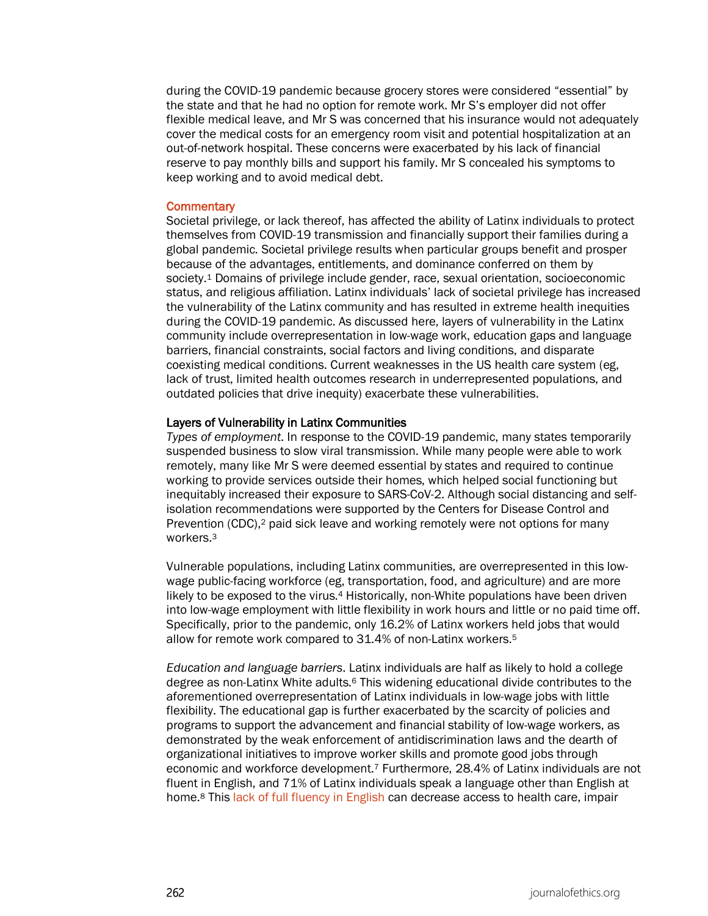during the COVID-19 pandemic because grocery stores were considered "essential" by the state and that he had no option for remote work. Mr S's employer did not offer flexible medical leave, and Mr S was concerned that his insurance would not adequately cover the medical costs for an emergency room visit and potential hospitalization at an out-of-network hospital. These concerns were exacerbated by his lack of financial reserve to pay monthly bills and support his family. Mr S concealed his symptoms to keep working and to avoid medical debt.

#### **Commentary**

Societal privilege, or lack thereof, has affected the ability of Latinx individuals to protect themselves from COVID-19 transmission and financially support their families during a global pandemic. Societal privilege results when particular groups benefit and prosper because of the advantages, entitlements, and dominance conferred on them by society.1 Domains of privilege include gender, race, sexual orientation, socioeconomic status, and religious affiliation. Latinx individuals' lack of societal privilege has increased the vulnerability of the Latinx community and has resulted in extreme health inequities during the COVID-19 pandemic. As discussed here, layers of vulnerability in the Latinx community include overrepresentation in low-wage work, education gaps and language barriers, financial constraints, social factors and living conditions, and disparate coexisting medical conditions. Current weaknesses in the US health care system (eg, lack of trust, limited health outcomes research in underrepresented populations, and outdated policies that drive inequity) exacerbate these vulnerabilities.

#### Layers of Vulnerability in Latinx Communities

*Types of employment*. In response to the COVID-19 pandemic, many states temporarily suspended business to slow viral transmission. While many people were able to work remotely, many like Mr S were deemed essential by states and required to continue working to provide services outside their homes, which helped social functioning but inequitably increased their exposure to SARS-CoV-2. Although social distancing and selfisolation recommendations were supported by the Centers for Disease Control and Prevention (CDC),<sup>2</sup> paid sick leave and working remotely were not options for many workers.3

Vulnerable populations, including Latinx communities, are overrepresented in this lowwage public-facing workforce (eg, transportation, food, and agriculture) and are more likely to be exposed to the virus.4 Historically, non-White populations have been driven into low-wage employment with little flexibility in work hours and little or no paid time off. Specifically, prior to the pandemic, only 16.2% of Latinx workers held jobs that would allow for remote work compared to 31.4% of non-Latinx workers.5

*Education and language barriers*. Latinx individuals are half as likely to hold a college degree as non-Latinx White adults.6 This widening educational divide contributes to the aforementioned overrepresentation of Latinx individuals in low-wage jobs with little flexibility. The educational gap is further exacerbated by the scarcity of policies and programs to support the advancement and financial stability of low-wage workers, as demonstrated by the weak enforcement of antidiscrimination laws and the dearth of organizational initiatives to improve worker skills and promote good jobs through economic and workforce development.7 Furthermore, 28.4% of Latinx individuals are not fluent in English, and 71% of Latinx individuals speak a language other than English at home.<sup>8</sup> Thi[s lack of full fluency in English](https://journalofethics.ama-assn.org/article/advancing-health-equity-avoiding-judgmentalism-and-contextualizing-care/2021-02) can decrease access to health care, impair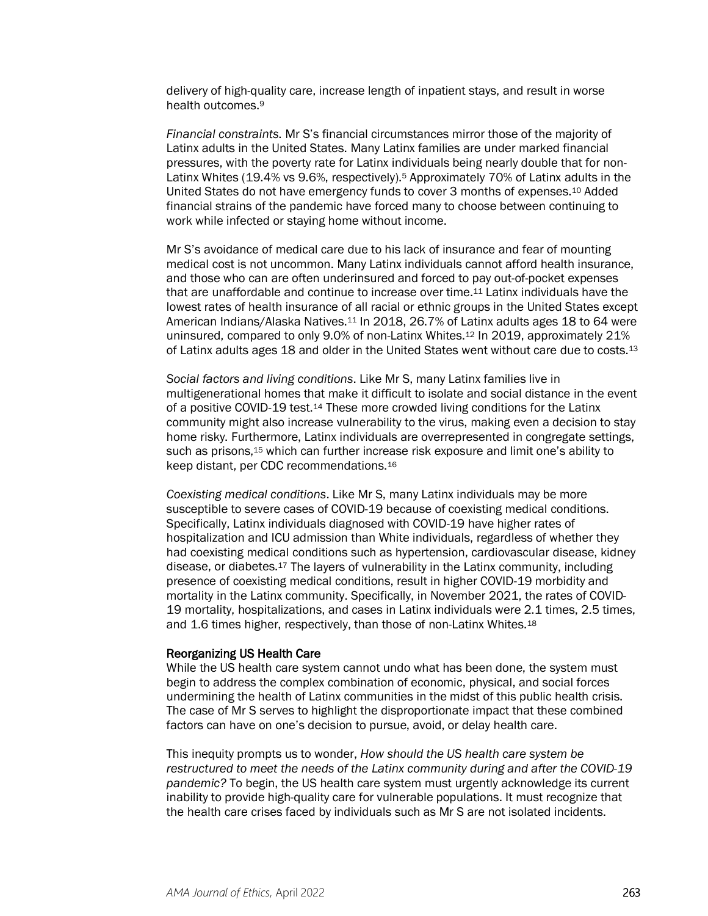delivery of high-quality care, increase length of inpatient stays, and result in worse health outcomes.9

*Financial constraints*. Mr S's financial circumstances mirror those of the majority of Latinx adults in the United States. Many Latinx families are under marked financial pressures, with the poverty rate for Latinx individuals being nearly double that for non-Latinx Whites (19.4% vs 9.6%, respectively).5 Approximately 70% of Latinx adults in the United States do not have emergency funds to cover 3 months of expenses.10 Added financial strains of the pandemic have forced many to choose between continuing to work while infected or staying home without income.

Mr S's avoidance of medical care due to his lack of insurance and fear of mounting medical cost is not uncommon. Many Latinx individuals cannot afford health insurance, and those who can are often underinsured and forced to pay out-of-pocket expenses that are unaffordable and continue to increase over time.11 Latinx individuals have the lowest rates of health insurance of all racial or ethnic groups in the United States except American Indians/Alaska Natives.11 In 2018, 26.7% of Latinx adults ages 18 to 64 were uninsured, compared to only 9.0% of non-Latinx Whites.12 In 2019, approximately 21% of Latinx adults ages 18 and older in the United States went without care due to costs.<sup>13</sup>

*Social factors and living conditions*. Like Mr S, many Latinx families live in multigenerational homes that make it difficult to isolate and social distance in the event of a positive COVID-19 test.14 These more crowded living conditions for the Latinx community might also increase vulnerability to the virus, making even a decision to stay home risky. Furthermore, Latinx individuals are overrepresented in congregate settings, such as prisons,<sup>15</sup> which can further increase risk exposure and limit one's ability to keep distant, per CDC recommendations.16

*Coexisting medical conditions*. Like Mr S, many Latinx individuals may be more susceptible to severe cases of COVID-19 because of coexisting medical conditions. Specifically, Latinx individuals diagnosed with COVID-19 have higher rates of hospitalization and ICU admission than White individuals, regardless of whether they had coexisting medical conditions such as hypertension, cardiovascular disease, kidney disease, or diabetes.17 The layers of vulnerability in the Latinx community, including presence of coexisting medical conditions, result in higher COVID-19 morbidity and mortality in the Latinx community. Specifically, in November 2021, the rates of COVID-19 mortality, hospitalizations, and cases in Latinx individuals were 2.1 times, 2.5 times, and 1.6 times higher, respectively, than those of non-Latinx Whites.18

#### Reorganizing US Health Care

While the US health care system cannot undo what has been done, the system must begin to address the complex combination of economic, physical, and social forces undermining the health of Latinx communities in the midst of this public health crisis. The case of Mr S serves to highlight the disproportionate impact that these combined factors can have on one's decision to pursue, avoid, or delay health care.

This inequity prompts us to wonder, *How should the US health care system be restructured to meet the needs of the Latinx community during and after the COVID-19 pandemic?* To begin, the US health care system must urgently acknowledge its current inability to provide high-quality care for vulnerable populations. It must recognize that the health care crises faced by individuals such as Mr S are not isolated incidents.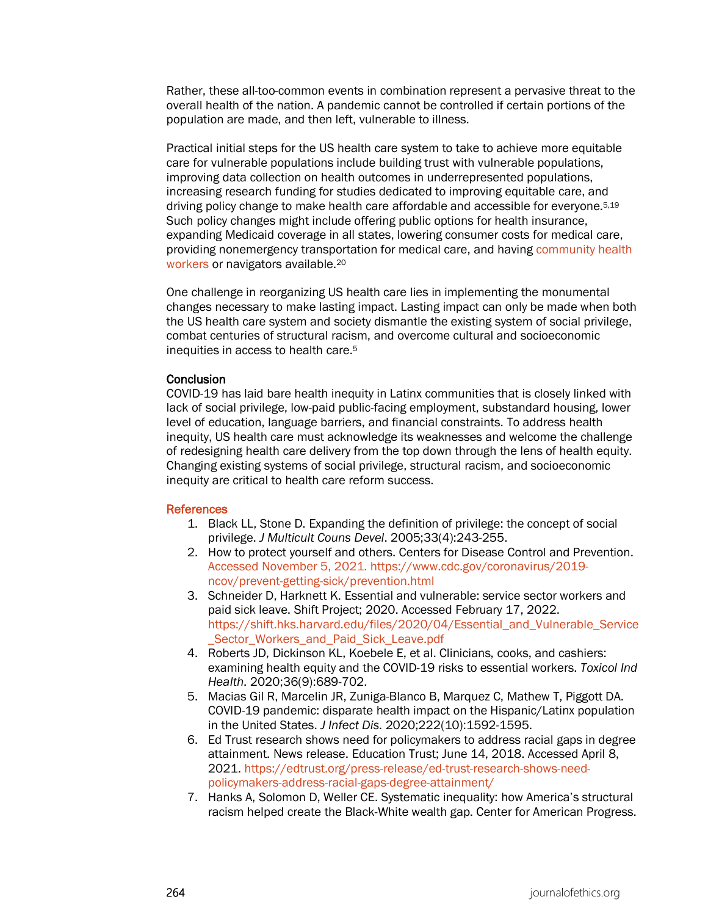Rather, these all-too-common events in combination represent a pervasive threat to the overall health of the nation. A pandemic cannot be controlled if certain portions of the population are made, and then left, vulnerable to illness.

Practical initial steps for the US health care system to take to achieve more equitable care for vulnerable populations include building trust with vulnerable populations, improving data collection on health outcomes in underrepresented populations, increasing research funding for studies dedicated to improving equitable care, and driving policy change to make health care affordable and accessible for everyone.5,19 Such policy changes might include offering public options for health insurance, expanding Medicaid coverage in all states, lowering consumer costs for medical care, providing nonemergency transportation for medical care, and having [community health](https://journalofethics.ama-assn.org/article/why-community-health-workers-role-latinx-communities-are-essential/2022-04)  [workers](https://journalofethics.ama-assn.org/article/why-community-health-workers-role-latinx-communities-are-essential/2022-04) or navigators available.20

One challenge in reorganizing US health care lies in implementing the monumental changes necessary to make lasting impact. Lasting impact can only be made when both the US health care system and society dismantle the existing system of social privilege, combat centuries of structural racism, and overcome cultural and socioeconomic inequities in access to health care.5

# **Conclusion**

COVID-19 has laid bare health inequity in Latinx communities that is closely linked with lack of social privilege, low-paid public-facing employment, substandard housing, lower level of education, language barriers, and financial constraints. To address health inequity, US health care must acknowledge its weaknesses and welcome the challenge of redesigning health care delivery from the top down through the lens of health equity. Changing existing systems of social privilege, structural racism, and socioeconomic inequity are critical to health care reform success.

# **References**

- 1. Black LL, Stone D. Expanding the definition of privilege: the concept of social privilege. *J Multicult Couns Devel*. 2005;33(4):243-255.
- 2. How to protect yourself and others. Centers for Disease Control and Prevention. Accessed November 5, 2021. https://www.cdc.gov/coronavirus/2019 ncov/prevent-getting-sick/prevention.html
- 3. Schneider D, Harknett K. Essential and vulnerable: service sector workers and paid sick leave. Shift Project; 2020. Accessed February 17, 2022. [https://shift.hks.harvard.edu/files/2020/04/Essential\\_and\\_Vulnerable\\_Service](https://shift.hks.harvard.edu/files/2020/04/Essential_and_Vulnerable_Service_Sector_Workers_and_Paid_Sick_Leave.pdf) Sector Workers and Paid Sick Leave.pdf
- 4. Roberts JD, Dickinson KL, Koebele E, et al. Clinicians, cooks, and cashiers: examining health equity and the COVID-19 risks to essential workers. *Toxicol Ind Health*. 2020;36(9):689-702.
- 5. Macias Gil R, Marcelin JR, Zuniga-Blanco B, Marquez C, Mathew T, Piggott DA. COVID-19 pandemic: disparate health impact on the Hispanic/Latinx population in the United States. *J Infect Dis*. 2020;222(10):1592-1595.
- 6. Ed Trust research shows need for policymakers to address racial gaps in degree attainment. News release. Education Trust; June 14, 2018. Accessed April 8, 2021. [https://edtrust.org/press-release/ed-trust-research-shows-need](https://edtrust.org/press-release/ed-trust-research-shows-need-policymakers-address-racial-gaps-degree-attainment/)[policymakers-address-racial-gaps-degree-attainment/](https://edtrust.org/press-release/ed-trust-research-shows-need-policymakers-address-racial-gaps-degree-attainment/)
- 7. Hanks A, Solomon D, Weller CE. Systematic inequality: how America's structural racism helped create the Black-White wealth gap. Center for American Progress.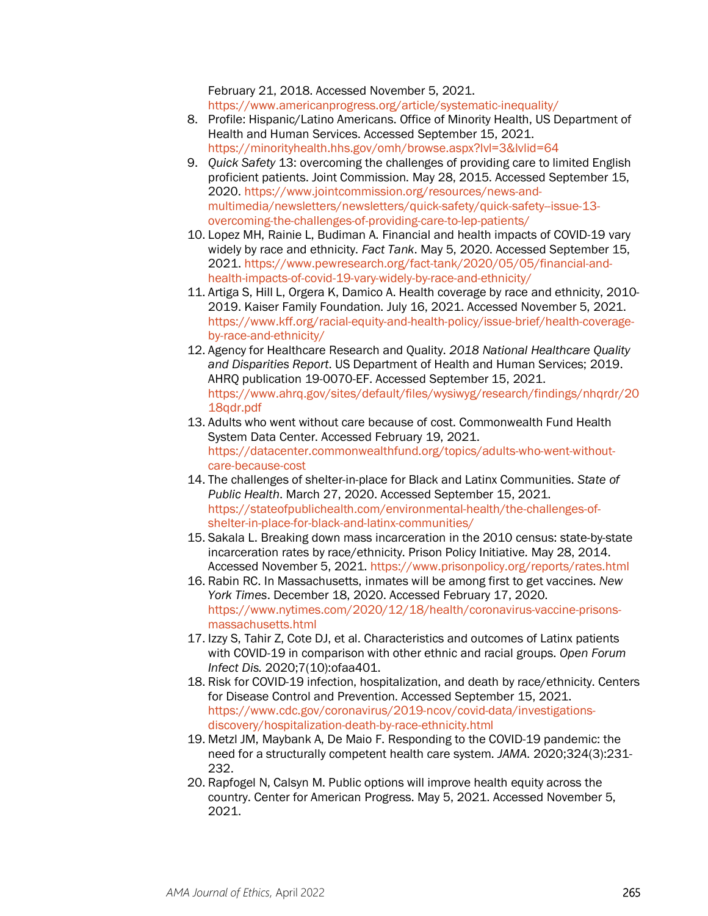February 21, 2018. Accessed November 5, 2021. <https://www.americanprogress.org/article/systematic-inequality/>

- 8. Profile: Hispanic/Latino Americans. Office of Minority Health, US Department of Health and Human Services. Accessed September 15, 2021. <https://minorityhealth.hhs.gov/omh/browse.aspx?lvl=3&lvlid=64>
- 9. *Quick Safety* 13: overcoming the challenges of providing care to limited English proficient patients. Joint Commission. May 28, 2015. Accessed September 15, 2020. [https://www.jointcommission.org/resources/news-and](https://www.jointcommission.org/resources/news-and-multimedia/newsletters/newsletters/quick-safety/quick-safety--issue-13-overcoming-the-challenges-of-providing-care-to-lep-patients/)[multimedia/newsletters/newsletters/quick-safety/quick-safety--issue-13](https://www.jointcommission.org/resources/news-and-multimedia/newsletters/newsletters/quick-safety/quick-safety--issue-13-overcoming-the-challenges-of-providing-care-to-lep-patients/) [overcoming-the-challenges-of-providing-care-to-lep-patients/](https://www.jointcommission.org/resources/news-and-multimedia/newsletters/newsletters/quick-safety/quick-safety--issue-13-overcoming-the-challenges-of-providing-care-to-lep-patients/)
- 10. Lopez MH, Rainie L, Budiman A. Financial and health impacts of COVID-19 vary widely by race and ethnicity. *Fact Tank*. May 5, 2020. Accessed September 15, 2021. [https://www.pewresearch.org/fact-tank/2020/05/05/financial-and](https://www.pewresearch.org/fact-tank/2020/05/05/financial-and-health-impacts-of-covid-19-vary-widely-by-race-and-ethnicity/)[health-impacts-of-covid-19-vary-widely-by-race-and-ethnicity/](https://www.pewresearch.org/fact-tank/2020/05/05/financial-and-health-impacts-of-covid-19-vary-widely-by-race-and-ethnicity/)
- 11. Artiga S, Hill L, Orgera K, Damico A. Health coverage by race and ethnicity, 2010- 2019. Kaiser Family Foundation. July 16, 2021. Accessed November 5, 2021. [https://www.kff.org/racial-equity-and-health-policy/issue-brief/health-coverage](https://www.kff.org/racial-equity-and-health-policy/issue-brief/health-coverage-by-race-and-ethnicity/)[by-race-and-ethnicity/](https://www.kff.org/racial-equity-and-health-policy/issue-brief/health-coverage-by-race-and-ethnicity/)
- 12. Agency for Healthcare Research and Quality. *2018 National Healthcare Quality and Disparities Report*. US Department of Health and Human Services; 2019. AHRQ publication 19-0070-EF. Accessed September 15, 2021. [https://www.ahrq.gov/sites/default/files/wysiwyg/research/findings/nhqrdr/20](https://www.ahrq.gov/sites/default/files/wysiwyg/research/findings/nhqrdr/2018qdr.pdf) [18qdr.pdf](https://www.ahrq.gov/sites/default/files/wysiwyg/research/findings/nhqrdr/2018qdr.pdf)
- 13. Adults who went without care because of cost. Commonwealth Fund Health System Data Center. Accessed February 19, 2021. [https://datacenter.commonwealthfund.org/topics/adults-who-went-without](https://datacenter.commonwealthfund.org/topics/adults-who-went-without-care-because-cost)[care-because-cost](https://datacenter.commonwealthfund.org/topics/adults-who-went-without-care-because-cost)
- 14. The challenges of shelter-in-place for Black and Latinx Communities. *State of Public Health*. March 27, 2020. Accessed September 15, 2021. [https://stateofpublichealth.com/environmental-health/the-challenges-of](https://stateofpublichealth.com/environmental-health/the-challenges-of-shelter-in-place-for-black-and-latinx-communities/)[shelter-in-place-for-black-and-latinx-communities/](https://stateofpublichealth.com/environmental-health/the-challenges-of-shelter-in-place-for-black-and-latinx-communities/)
- 15. Sakala L. Breaking down mass incarceration in the 2010 census: state-by-state incarceration rates by race/ethnicity. Prison Policy Initiative. May 28, 2014. Accessed November 5, 2021.<https://www.prisonpolicy.org/reports/rates.html>
- 16. Rabin RC. In Massachusetts, inmates will be among first to get vaccines. *New York Times*. December 18, 2020. Accessed February 17, 2020. [https://www.nytimes.com/2020/12/18/health/coronavirus-vaccine-prisons](https://www.nytimes.com/2020/12/18/health/coronavirus-vaccine-prisons-massachusetts.html)[massachusetts.html](https://www.nytimes.com/2020/12/18/health/coronavirus-vaccine-prisons-massachusetts.html)
- 17. Izzy S, Tahir Z, Cote DJ, et al. Characteristics and outcomes of Latinx patients with COVID-19 in comparison with other ethnic and racial groups. *Open Forum Infect Dis.* 2020;7(10):ofaa401.
- 18. Risk for COVID-19 infection, hospitalization, and death by race/ethnicity. Centers for Disease Control and Prevention. Accessed September 15, 2021. [https://www.cdc.gov/coronavirus/2019-ncov/covid-data/investigations](https://www.cdc.gov/coronavirus/2019-ncov/covid-data/investigations-discovery/hospitalization-death-by-race-ethnicity.html)[discovery/hospitalization-death-by-race-ethnicity.html](https://www.cdc.gov/coronavirus/2019-ncov/covid-data/investigations-discovery/hospitalization-death-by-race-ethnicity.html)
- 19. Metzl JM, Maybank A, De Maio F. Responding to the COVID-19 pandemic: the need for a structurally competent health care system. *JAMA*. 2020;324(3):231- 232.
- 20. Rapfogel N, Calsyn M. Public options will improve health equity across the country. Center for American Progress. May 5, 2021. Accessed November 5, 2021.